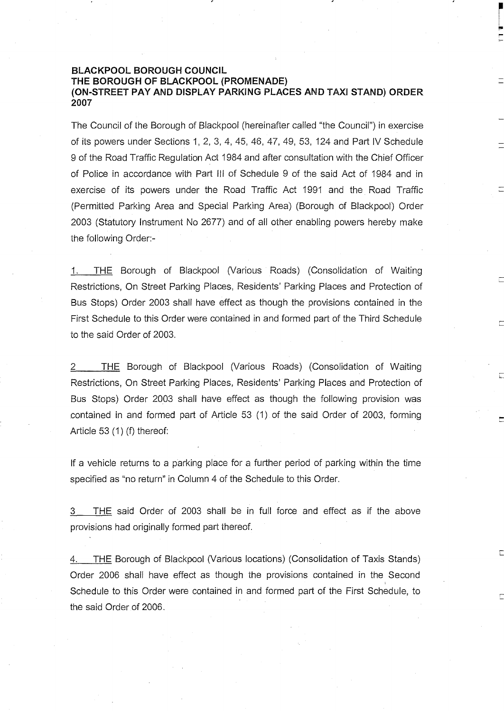## **BLACKPOOL BOROUGH COUNCIL THE BOROUGH OF BLACKPOOL (PROMENADE) (ON-STREET PAY AND DISPLAY PARKING PLACES AND TAXI STAND) ORDER 2007**

The Council of the Borough of Blackpool (hereinafter called "the Council") in exercise of its powers under Sections 1, 2, 3, 4, 45, 46, 47, 49, 53, 124 and Part IV Schedule 9 of the Road Traffic Regulation Act 1984 and after consultation with the Chief Officer of Police in accordance with Part III of Schedule 9 of the said Act of 1984 and in exercise of its powers under the Road Traffic Act 1991 and the Road Traffic (Permitted Parking Area and Special Parking Area) (Borough of Blackpool) Order 2003 (Statutory Instrument No 2677) and of all other enabling powers hereby make the following Order:-

1. THE Borough of Blackpool (Various Roads) (Consolidation of Waiting Restrictions, On Street Parking Places, Residents' Parking Places and Protection of Bus Stops) Order 2003 shall have effect as though the provisions contained in the First Schedule to this Order were contained in and formed part of the Third Schedule to the said Order of 2003.

2\_\_\_\_THE Borough of Blackpool (Various Roads) (Consolidation of Waiting Restrictions, On Street Parking Places, Residents' Parking Places and Protection of Bus Stops) Order 2003 shall have effect as though the following provision was contained in and formed part of Article 53 (1) of the said Order of 2003, forming Article 53 (1) (f) thereof:

If a vehicle returns to a parking place for a further period of parking within the time specified as "no return" in Column 4 of the Schedule to this Order.

3 THE said Order of 2003 shall be in full force and effect as if the above provisions had originally formed part thereof.

4. THE Borough of Blackpool (Various locations) (Consolidation of Taxis Stands) Order 2006 shall have effect as though the provisions contained in the Second Schedule to this Order were contained in and formed part of the First Schedule, to the said Order of 2006.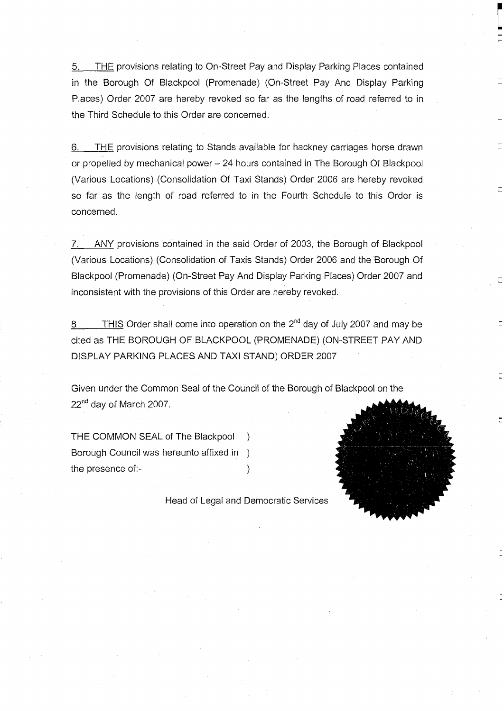5. THE provisions relating to On-Street Pay and Display Parking Places contained in the Borough Of Blackpool (Promenade) (On-Street Pay And Display Parking Places) Order 2007 are hereby revoked so far as the lengths of road referred to in the Third Schedule to this Order are concerned.

6. THE provisions relating to Stands available for hackney carnages horse drawn or propelled by mechanical power- 24 hours contained in The Borough Of Blackpool (Various Locations) (Consolidation Of Taxi Stands) Order 2006 are hereby revoked so far as the length of road referred to in the Fourth Schedule to this Order is concerned.

7. ANY provisions contained in the said Order of 2003, the Borough of Blackpool (Various Locations) (Consolidation of Taxis Stands) Order 2006 and the Borough Of Blackpool (Promenade) (On-Street Pay And Display Parking Places) Order 2007 and inconsistent with the provisions of this Order are hereby revoked.

8 THIS Order shall come into operation on the  $2^{nd}$  day of July 2007 and may be cited as THE BOROUGH OF BLACKPOOL (PROMENADE) (ON-STREET PAY AND DISPLAY PARKING PLACES AND TAXI STAND) ORDER 2007

Given under the Common Seal of the Council of the Borough of Blackpool on the 22<sup>nd</sup> day of March 2007.

THE COMMON SEAL of The Blackpool Borough Council was hereunto affixed in ) the presence of:-

Head of Legal and Democratic Services